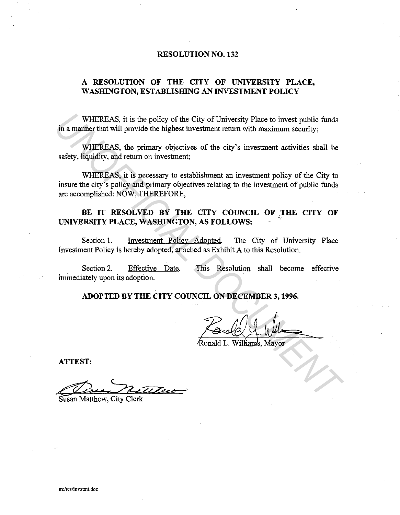#### **RESOLUTION NO. 132**

# **A RESOLUTION OF THE CITY OF UNIVERSITY PLACE, WASHING TON, ESTABLISHING AN INVESTMENT POLICY**

WHEREAS, it is the policy of the City of University Place to invest public funds in a manner that will provide the highest investment return with maximum security;

WHEREAS, the primary objectives of the city's investment activities shall be safety, liquidity, and return on investment;

WHEREAS, it is necessary to establishment an investment policy of the City to insure the city's policy and primary objectives relating to the investment of public funds are accomplished: NOW, THEREFORE, WHEREAS, it is the policy of the City of University Place to invest public funds<br>in a manner that will provide the highest investment return with maximum security,<br>where ER, it is necessary to establishment an investment a

# BE IT RESOLVED BY THE CITY COUNCIL OF THE CITY OF UNIVERSITY PLACE, WASHINGTON, AS FOLLOWS:

Section 1. Investment Policy Adopted. The City of University Place Investment Policy is hereby adopted, attached as Exhibit A to this Resolution.

Section 2. Effective Date. This Resolution shall become effective immediately upon its adoption.

**ADOPTED BY THE CITY COUNCIL ON DECEMBER 3, 1996.** 

**ATTEST:** 

Arrest.<br>Case Matthew City Clerk

Susan Matthew, City Clerk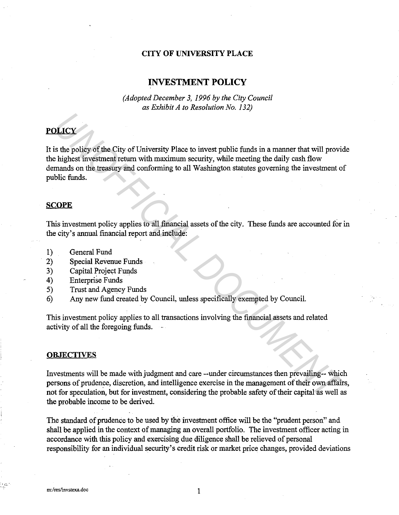## **CITY OF UNIVERSITY PLACE**

# **INVESTMENT POLICY**

*(Adopted December 3, 1996 by the City Council as Exhibit A to Resolution No. 132)* 

# **POLICY**

It is the policy of the City of University Place to invest public funds in a manner that will provide the highest investment return with maximum security, while meeting the daily cash flow demands on the treasury and conforming to all Washington statutes governing the investment of public funds. **UNICY**<br> **UNICENTY AND COMPUTE CONSIDENT CONSIDENT CONSIDENT IS A DEPENDENT INTO A DEPARTMENT IN THE DEPARTMENT IN THE AND A DOPTEMBLE TO A DEPARTMENT OF THE CONSIDENT CONSIDENT IS A DOMPHALM ON DURING THE CONSIDENT AND DU** 

#### **SCOPE**

This investment policy applies to all financial assets of the city. These funds are accounted for in the city's annual financial report and include:

- 1) General Fund
- 2) Special Revenue Funds
- 3) Capital Project Funds
- 4) Enterprise Funds
- 5) Trust and Agency Funds
- 6) Any new fund created by Council, unless specifically exempted by Council.

This investment policy applies to all transactions involving the financial assets and related activity of all the foregoing funds.

#### **OBJECTIVES**

Investments will be made with judgment and care --under circumstances then prevailing-- which persons of prudence, discretion, and intelligence exercise in the management of their own affairs, not for speculation, but for investment, considering the probable safety of their capital as well as the probable income to be derived.

The standard of prudence to be used by the investment office will be the "prudent person" and shall be applied in the context of managing an overall portfolio. The investment officer acting in accordance with this policy and exercising due diligence shall be relieved of personal responsibility for an individual security's credit risk or market price changes, provided deviations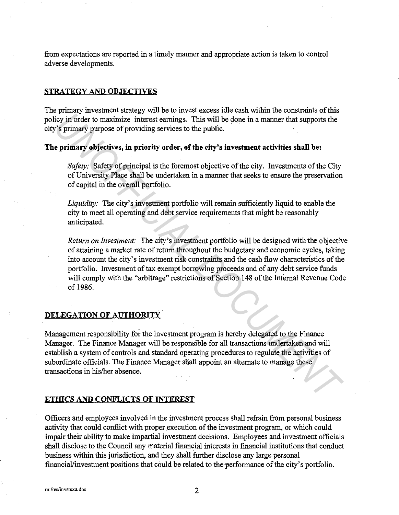from expectations are reported in a timely manner and appropriate action is taken to control adverse developments.

#### **STRATEGY AND OBJECTIVES**

The primary investment strategy will be to invest excess idle cash within the constraints of this policy in order to maximize interest earnings. This will be done in a manner that supports the city's primary purpose of providing services to the public.

# **The primary objectives, in priority order, of the city's investment activities shall be:**

*Safety:* Safety of principal is the foremost objective of the city. Investments of the City of University Place shall be undertaken in a manner that seeks to ensure the preservation of capital in the overall portfolio.

*Liquidity:* The city's investment portfolio will remain sufficiently liquid to enable the city to meet all operating and debt service requirements that might be reasonably anticipated.

*Return on Investment:* The city's investment portfolio will be designed with the objective of attaining a market rate of return throughout the budgetary and economic cycles, taking into account the city's investment risk constraints and the cash flow characteristics of the portfolio. Investment of tax exempt borrowing proceeds and of any debt service funds will comply with the "arbitrage" restrictions of Section 148 of the Internal Revenue Code of 1986. *Unimaly* intertaints change in the control of the measure of the principal depletion in the control of the principal is the principal is the principal is the principal services to the public.<br>
Sy in order to maximize inte

# **DELEGATION OF AUTHORITY**

Management responsibility for the investment program is hereby delegated to the Finance Manager. The Finance Manager will be responsible for all transactions undertaken and will establish a system of controls and standard operating procedures to regulate the activities of subordinate officials. The Finance Manager shall appoint an alternate to manage these transactions in his/her absence.

#### **ETHICS AND CONFLICTS OF INTEREST**

Officers and employees involved in the investment process shall refrain from personal business activity that could conflict with proper execution of the investment program, or which could impair their ability to make impartial investment decisions. Employees and investment officials shall disclose to the Council any material financial interests in financial institutions that conduct business within this jurisdiction, and they shall further disclose any large personal financial/investment positions that could be related to the performance of the city's portfolio.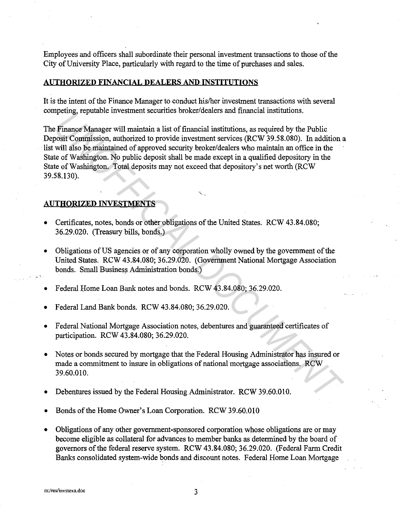Employees and officers shall subordinate their personal investment transactions to those of the City of University Place, particularly with regard to the time of purchases and sales.

# **AUTHORIZED FINANCIAL DEALERS AND INSTITUTIONS**

It is the intent of the Finance Manager to conduct his/her investment transactions with several competing, reputable investment securities broker/dealers and financial institutions.

The Finance Manager will maintain a list of financial institutions, as required by the Public Deposit Commission, authorized to provide investment services (RCW 39.58.080). In addition a list will also be maintained of approved security broker/dealers who maintain an office in the State of Washington. No public deposit shall be made except in a qualified depository in the State of Washington. Total deposits may not exceed that depository's net worth (RCW 39.58.130). *IF* Finance Margare will maintain a list of financial institutes.<br> *Unimerse Manager will maintain a* list of financial institutions, as required by the Public<br>
Docist Commission, authorized to provide investment services

·~ ..

#### **AUTHORIZED INVESTMENTS**

- Certificates, notes, bonds or other obligations of the United States. RCW 43.84.080; 36.29.020. (Treasury bills, bonds.)
- Obligations of US agencies or of any corporation wholly owned by the government of the United States. RCW 43.84.080; 36.29.020. (Government National Mortgage Association bonds. Small Business Administration bonds.)

Federal Home Loan Bank notes and bonds. RCW 43.84.080; 36.29.020.

• Federal Land Bank bonds. RCW 43.84.080; 36.29.020.

- Federal National Mortgage Association notes, debentures and guaranteed certificates of participation. RCW 43.84.080; 36.29.020.
- Notes or bonds secured by mortgage that the Federal Housing Administrator has insured or made a commitment to insure in obligations of national mortgage associations. RCW 39.60.010.
- Debentures issued by the Federal Housing Administrator. RCW 39.60.010.
- Bonds of the Home Owner's Loan Corporation. RCW 39.60.010
- Obligations of any other government-sponsored corporation whose obligations are or may become eligible as collateral for advances to member banks as determined by the board of governors of the federal reserve system. RCW 43.84.080; 36.29.020. (Federal Farm Credit Banks consolidated system-wide bonds and discount notes. Federal Home Loan Mortgage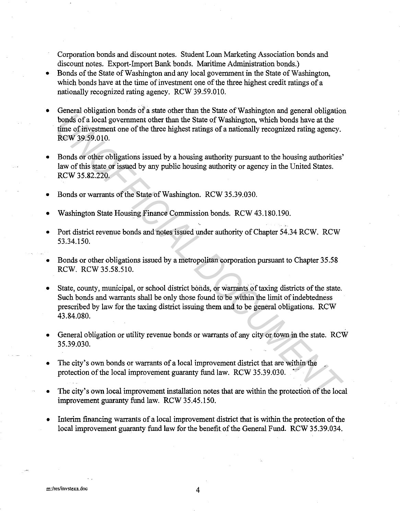Corporation bonds and discount notes. Student Loan Marketing Association bonds and discount notes. Export-Import Bank bonds. Maritime Administration bonds.)

- Bonds of the State of Washington and any local government in the State of Washington, which bonds have at the time of investment one of the three highest credit ratings of a nationally recognized rating agency. RCW 39.59.010.
- General obligation bonds of a state other than the State of Washington and general obligation bonds ofa local government other than the State of Washington, which bonds have at the time of investment one of the three highest ratings of a nationally recognized rating agency. RCW 39.59.010.
- Bonds or other obligations issued by a housing authority pursuant to the housing authorities' law of this state or issued by any public housing authority or agency in the United States. RCW 35.82.220.
- Bonds or warrants of the State of Washington. RCW 35.39.030.
- Washington State Housing Finance Commission bonds. RCW 43.180.190.
- Port district revenue bonds and notes issued under authority of Chapter 54.34 RCW. RCW 53.34.150.
- Bonds or other obligations issued by a metropolitan corporation pursuant to Chapter 35.58 RCW. RCW 35.58.510.
- State, county, municipal, or school district bonds, or warrants of taxing districts of the state. Such bonds and warrants shall be only those found to be within the limit of indebtedness prescribed by law for the taxing district issuing them and to be general obligations. RCW 43.84.080. **UNITER CONSULTERATIVE CONSULTERATIVE CONSULTERATIVE CONSULTERATIVE CONSULTERATIVE CONSULTERATIVE OF A DOCUMENTATIVE CONSULTERATIVE CONSULTERATIVE CONSULTERATIVE REVALUATION OF A DOCUMENTATIVE CONSULTER (FOR UNITED SUPPORT**
- General obligation or utility revenue bonds or warrants of any city or town in the state. RCW 35.39.030.
- The city's own bonds or warrants of a local improvement district that are within the protection of the local improvement guaranty fund law. RCW 35.39.030.
- The city's own local improvement installation notes that are within the protection of the local improvement guaranty fund law. RCW 35.45.150.
- Interim financing warrants of a local improvement district that is within the protection of the local improvement guaranty fund law for the benefit of the General Fund. RCW 35.39.034.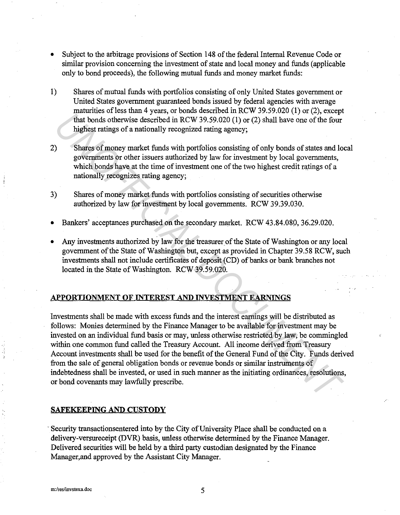- Subject to the arbitrage provisions of Section 148 of the federal Internal Revenue Code or similar provision concerning the investment of state and local money and funds (applicable only to bond proceeds), the following mutual funds and money market funds:
- **1)** Shares of mutual funds with portfolios consisting of only United States government or United States government guaranteed bonds issued by federal agencies with average maturities of less than 4 years, or bonds described in RCW 39.59.020 (1) or  $(2)$ , except that bonds otherwise described in RCW 39.59.020 (1) or (2) shall have one of the four highest ratings of a nationally recognized rating agency;
- 2) Shares of money market funds with portfolios consisting of only bonds of states and local governments or other issuers authorized by law for investment by local governments, which bonds have at the time of investment one of the two highest credit ratings of a nationally recognizes rating agency;
- 3) Shares of money market funds with portfolios consisting of securities otherwise authorized by law for investment by local governments. RCW 39.39.030.
- Bankers' acceptances purchased on the secondary market. RCW 43.84.080, 36.29.020.
- Any investments authorized by law for the treasurer of the State of Washington or any local government of the State of Washington but, except as provided in Chapter 39.58 RCW, such investments shall not include certificates of deposit (CD) of banks or bank branches not located in the State of Washington. RCW 39.59.020.

# **APPORTIONMENT OF INTEREST AND INVESTMENT EARNINGS**

Investments shall be made with excess funds and the interest earnings will be distributed as follows: Monies determined by the Finance Manager to be available for investment may be invested on an individual fund basis or may, unless otherwise restricted by law, be commingled within one common fund called the Treasury Account. All income derived from Treasury Account investments shall be used for the benefit of the General Fund of the City. Funds derived from the sale of general obligation bonds or revenue bonds or similar instruments of indebtedness shall be invested, or used in such manner as the initiating ordinances, resolutions, or bond covenants may lawfully prescribe. That there is the stationary version of the Station Control in the 1971 of the Control in the stationally recognized rating agency;<br> **Shares of money market funds with portfolios consisting of only bonds of states and logo** 

#### **SAFEKEEPING AND CUSTODY**

-Security transactionsentered into by the City of University Place shall be conducted on a delivery-versureceipt (DVR) basis, unless otherwise determined by the Finance Manager. Delivered securities will be held by a third party custodian designated by the Finance Manager,and approved by the Assistant City Manager.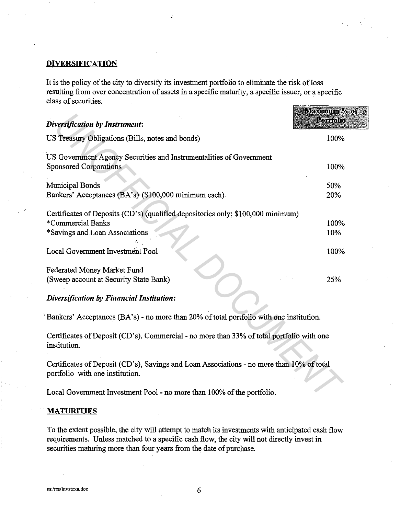#### **DIVERSIFICATION**

It is the policy of the city to diversify its investment portfolio to eliminate the risk of loss resulting from over concentration of assets in a specific maturity, a specific issuer, or a specific class of securities. **STATE OF STATE OF A PARTIES** 

| <b>Diversification by Instrument:</b>                                                                                                   | <u>увусніці і незахн</u><br><b>Portfolio</b> |
|-----------------------------------------------------------------------------------------------------------------------------------------|----------------------------------------------|
| US Treasury Obligations (Bills, notes and bonds)                                                                                        | 100%                                         |
| US Government Agency Securities and Instrumentalities of Government<br><b>Sponsored Corporations</b>                                    | 100%                                         |
| Municipal Bonds<br>Bankers' Acceptances (BA's) (\$100,000 minimum each)                                                                 | 50%<br>20%                                   |
| Certificates of Deposits (CD's) (qualified depositories only; \$100,000 minimum)<br>*Commercial Banks<br>*Savings and Loan Associations | 100%<br>10%                                  |
| Local Government Investment Pool                                                                                                        | 100%                                         |
| Federated Money Market Fund<br>(Sweep account at Security State Bank)                                                                   | 25%                                          |
| Diversification by Financial Institution:                                                                                               |                                              |
| "Bankers' Acceptances (BA's) - no more than 20% of total portfolio with one institution.                                                |                                              |
| Certificates of Deposit (CD's), Commercial - no more than 33% of total portfolio with one<br>institution.                               |                                              |
| Certificates of Deposit (CD's), Savings and Loan Associations - no more than 10% of total<br>portfolio with one institution.            |                                              |
| Local Government Investment Pool - no more than 100% of the portfolio.                                                                  |                                              |

# **MATURITIES**

To the extent possible, the city will attempt to match its investments with anticipated cash flow requirements. Unless matched to a specific cash flow, the city will not directly invest in securities maturing more than four years from the date of purchase.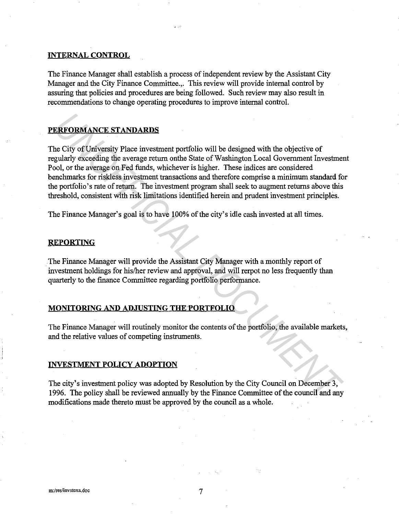## **INTERNAL CONTROL**

The Finance Manager shall establish a process of independent review by the Assistant City Manager and the City Finance Committee.,. This review will provide internal control by assuring that policies and procedures are being followed. Such review may also result in recommendations to change operating procedures to improve internal control.

# **PERFORMANCESTANPARDS**

The City of University Place investment portfolio will be designed with the objective of regularly exceeding the average return onthe State of Washington Local Government Investment Pool, or the average on Fed funds, whichever is higher. These indices are considered benchmarks for riskless investment transactions and therefore comprise a minimum standard for the portfolio's rate of return. The investment program shall seek to augment returns above this threshold, consistent with risk limitations identified herein and prudent investment principles. **ERFORMANCE STANDARDS**<br>
City of University Place investment portfolio will be designed with the objective of<br>
gularly exceeding the average or line on the State of Washington Local Government Investment<br>
polydy exceeding t

The Finance Manager's goal is to have 100% of the city's idle cash invested at all times.

#### **REPORTING**

The Finance Manager will provide the Assistant City Manager with a monthly report of investment holdings for his/her review and approval, and will rerpot no less frequently than quarterly to the finance Committee regarding portfolio performance.

#### **MONITORING AND AD.JUSTING THE PORTFOLIO**

The Finance Manager will routinely monitor the contents of the portfolio, the available markets, and the relative values of competing instruments.

#### **INVESTMENT POLICY ADOPTION**

The city's investment policy was adopted by Resolution by the City Council on December 3, 1996. The policy shall be reviewed annually by the Finance Committee of the council and any modifications made thereto must be approved by the council as a whole.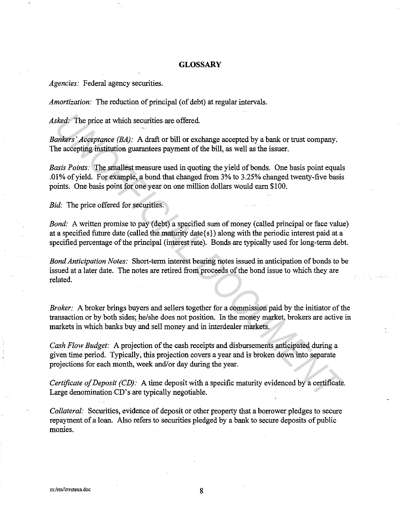# **GLOSSARY**

*Agencies:* Federal agency securities.

*Amortization:* The reduction of principal (of debt) at regular intervals.

*Asked:* The price at which securities are offered.

*Bankers' Acceptance (BA):* A draft or bill or exchange accepted by a bank or trust company. The accepting institution guarantees payment of the bill, as well as the issuer.

*Basis Points:* The smallest measure used in quoting the yield of bonds. One basis point equals .01 % of yield. For example, a bond that changed from 3% to 3.25% changed twenty-five basis points. One basis point for one year on one million dollars would earn \$100. *sked.* The price at which securities are offered.<br> *unkers' Acceptance* (*BA*): A draft or bill or exchange accepted by a bank or trust company.<br> *unkers' Acceptance* (*BA*): A draft or bill or exchange accepted by a bank

*Bid:* The price offered for securities.

*Bond:* A written promise to pay (debt) a specified sum of money (called principal or face value) at a specified future date (called the maturity date{ s}) along with the periodic interest paid at a specified percentage of the principal (interest rate). Bonds are typically used for long-term debt.

*Bond Anticipation Notes:* Short-term interest bearing notes issued in anticipation of bonds to be issued at a later date. The notes are retired from proceeds of the bond issue to which they are related.

*Broker:* A broker brings buyers and sellers together for a commission paid by the initiator of the transaction or by both sides; he/she does not position. In the money market, brokers are active in markets in which banks buy and sell money and in interdealer markets.

*Cash Flow Budget:* A projection of the cash receipts and disbursements anticipated during a given time period. Typically, this projection covers a year and is broken down into separate projections for each month, week and/or day during the year.

*Certificate of Deposit (CD):* A time deposit with a specific maturity evidenced by a certificate. Large denomination CD's are typically negotiable.

*Collateral:* Securities, evidence of deposit or other property that a borrower pledges to secure repayment of a loan. Also refers to securities pledged by a bank to secure deposits of public monies.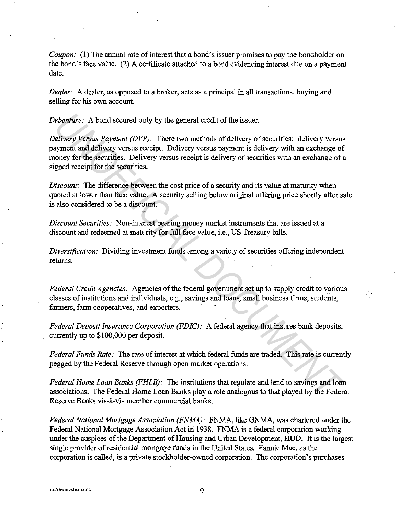*Coupon:* (1) The annual rate of interest that a bond's issuer promises to pay the bondholder on the bond's face value. (2) A certificate attached to a bond evidencing interest due on a payment date.

*Dealer:* A dealer, as opposed to a broker, acts as a principal in all transactions, buying and selling for his own account.

*Debenture:* A bond secured only by the general credit of the issuer.

*Delivery Versus Payment (DVP):* There two methods of delivery of securities: delivery versus payment and delivery versus receipt. Delivery versus payment is delivery with an exchange of money for the securities. Delivery versus receipt is delivery of securities with an exchange of a signed receipt for the securities. *Unitary:* A bond secured only by the general credit of the issuer.<br> *Ulivery Versus Payment (DVP)*: There two methods of delivery of securities: delivery versus<br>
syment and delivery versus receipt. Delivery versus payment

*Discount:* The difference between the cost price of a security and its value at maturity when quoted at lower than face value. A security selling below original offering price shortly after sale is also considered to be a discount.

*Discount Securities:* Non-interest bearing money market instruments that are issued at a discount and redeemed at maturity for full face value, i.e., US Treasury bills.

*Diversification:* Dividing investment funds among a variety of securities offering independent returns.

*Federal Credit Agencies:* Agencies of the federal government set up to supply credit to various classes of institutions and individuals, e.g., savings and loans, small business firms, students, farmers, farm cooperatives, and exporters.

*Federal Deposit Insurance Corporation (FDIC):* A federal agency that insures bank deposits, currently up to \$100,000 per deposit.

*Federal Funds Rate:* The rate of interest at which federal funds are traded. This rate is currently pegged by the Federal Reserve through open market operations.

*Federal Home Loan Banks (FHLB):* The institutions that regulate and lend to savings and loan associations. The Federal Home Loan Banks play a role analogous to that played by the Federal Reserve Banks vis-a-vis member commercial banks.

*Federal National Mortgage Association (FNMA):* FNMA, like GNMA, was chartered under the Federal National Mortgage Association Act in 1938. FNMA is a federal corporation working under the auspices of the Department of Housing and Urban Development, HUD. It is the largest single provider ofresidential mortgage funds in the United States. Fannie Mae, as the corporation is called, is a private stockholder-owned corporation. The corporation's purchases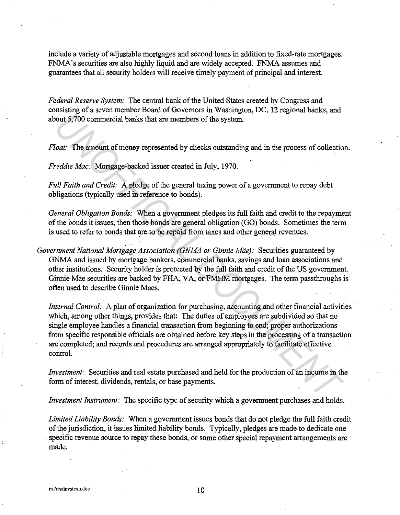include a variety of adjustable mortgages and second loans in addition to fixed-rate mortgages. FNMA's securities are also highly liquid and are widely accepted. FNMA assumes and guarantees that all security holders will receive timely payment of principal and interest.

*Federal Reserve System:* The central bank of the United States created by Congress and consisting of a seven member Board of Governors in Washington, DC, 12 regional banks, and about 5, 700 commercial banks that are members of the system.

*Float:* The amount of money represented by checks outstanding and in the process of collection.

*Freddie Mac:* Mortgage-backed issuer created in July, 1970.

*Full Faith and Credit:* A pledge of the general taxing power of a government to repay debt obligations (typically used in reference to bonds).

*General Obligation Bonds:* When a government pledges its full faith and credit to the repayment of the bonds it issues, then those bonds are general obligation (GO) bonds. Sometimes the term is used to refer to bonds that are to be repaid from taxes and other general revenues.

*Government National Mortgage Association (GNMA or Ginnie Mde}:* Securities guaranteed by GNMA and issued by mortgage bankers, commercial banks, savings and loan associations and other institutions. Security holder is protected by the full faith and credit of the US government. Ginnie Mae securities are backed by FHA, VA, or FMHM mortgages. The term passthroughs is often used to describe Ginnie Maes.

*Internal Control:* A plan of organization for purchasing, accounting and other financial activities which, among other things, provides that: The duties of employees are subdivided so that no single employee handles a financial transaction from beginning to end; proper authorizations from specific responsible officials are obtained before key steps in the processing of a transaction are completed; and records and procedures are arranged appropriately to facilitate effective control. *UNITY All one constrained to the CONDICT CONDICT CONDICT CONDICT CONDICT CONDICT CONDICT CONDICT CONDICT CONDICT CONDICT CONDICT CONDICT CONDICT CONDICT CONDICT CONDICT CONDICT CONDICT CONDICT CONDICT CONDICT CONDICT CON* 

*Investment:* Securities and real estate purchased and held for the production of an income in the form of interest, dividends, rentals, or base payments.

*Investment Instrument:* The specific type of security which a government purchases and holds.

*Limited Liability Bonds:* When a government issues bonds that do not pledge the full faith credit of the jurisdiction, it issues limited liability bonds. Typically, pledges are made to dedicate one specific revenue source to repay these bonds, or some other special repayment arrangements are made.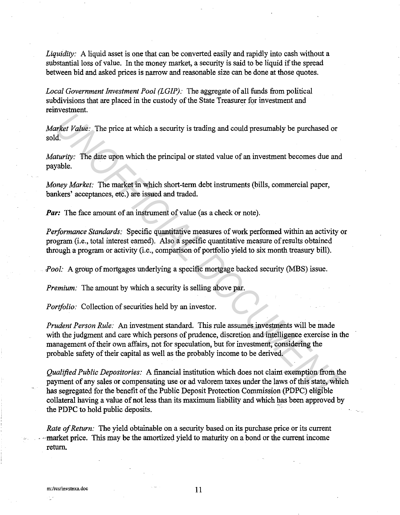*Liquidity:* A liquid asset is one that can be converted easily and rapidly into cash without a substantial loss of value. In the money market, a security is said to be liquid if the spread between bid and asked prices is narrow and reasonable size can be done at those quotes.

*Local Government Investment Pool (LGIP):* The aggregate of all funds from political subdivisions that are placed in the custody of the State Treasurer for investment and reinvestment.

*Market Value:* The price at which a security is trading and could presumably be purchased or sold.

*Maturity:* The date upon which the principal or stated value of an investment becomes due and payable.

*Money Market:* The market in which short-term debt instruments (bills, commercial paper, bankers' acceptances, etc.) are issued and traded.

*Par:* The face amount of an instrument of value (as a check or note).

*Performance Standards:* Specific quantitative measures of work performed within an activity or program (i.e., total interest earned). Also a specific quantitative measure of results obtained through a program or activity (i.e., comparison of portfolio yield to six month treasury bill).

*·Pool:* A group of mortgages underlying a specific mortgage backed security (MBS) issue.

*Premium:* The amount by which a security is selling above par.

*Portfolio:* Collection of securities held by an investor.

*Prudent Person Rule:* An investment standard. This rule assumes investments will be made with the judgment and care which persons of prudence, discretion and intelligence exercise in the management of their own affairs, not for speculation, but for investment, considering the probable safety of their capital as well as the probably income to be derived. *Under Transmitters*<br> *Uniter Uniter*: The price at which a security is trading and could presumably be purchased or<br> *Unity:* The date upon which the principal or stated value of an investment becomes due and<br> *Unity:*

*Qualified Public Depositories:* A financial institution which does not claim exemption from the payment of any sales or compensating use or ad valorem taxes under the laws of this state, which has segregated for the benefit of the Public Deposit Protection Commission (PDPC) eligible collateral having a value of not less than its maximum liability and which has been approved by the PDPC to hold public deposits.

*Rate of Return:* The yield obtainable on a security based on its purchase price or its current market price. This may be the amortized yield to maturity on a bond or the current income return.